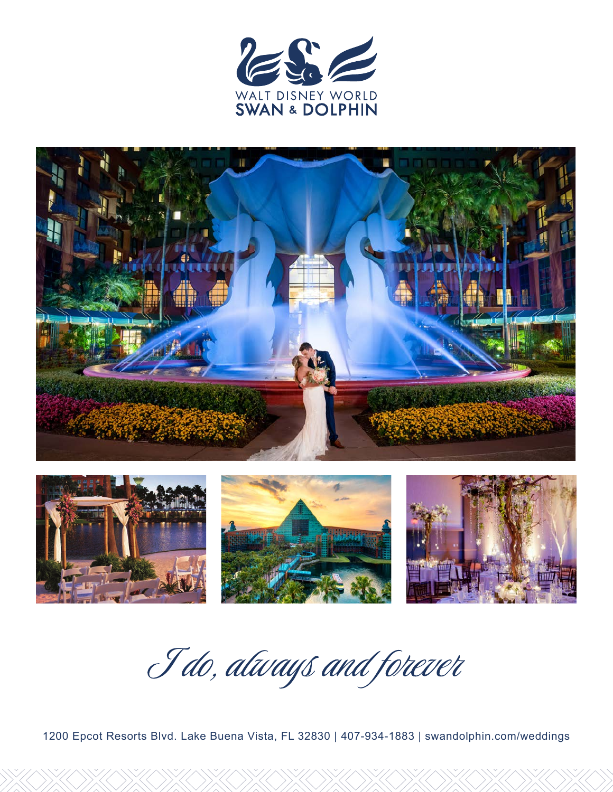





I do, always and forever

1200 Epcot Resorts Blvd. Lake Buena Vista, FL 32830 | 407-934-1883 | swandolphin.com/weddings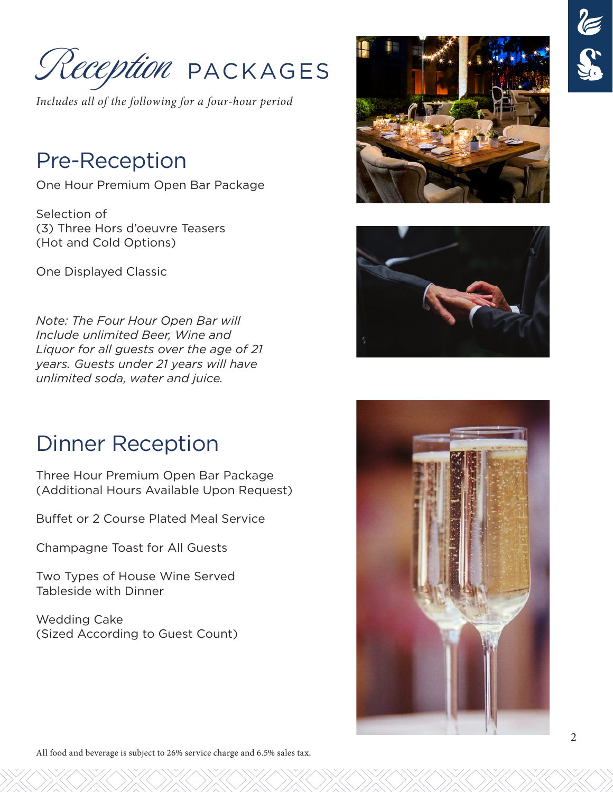PACKAGES Reception

*Includes all of the following for a four-hour period*

## Pre-Reception

One Hour Premium Open Bar Package

Selection of (3) Three Hors d'oeuvre Teasers (Hot and Cold Options)

One Displayed Classic

*Note: The Four Hour Open Bar will Include unlimited Beer, Wine and Liquor for all guests over the age of 21 years. Guests under 21 years will have unlimited soda, water and juice.*

## Dinner Reception

Three Hour Premium Open Bar Package (Additional Hours Available Upon Request)

Buffet or 2 Course Plated Meal Service

Champagne Toast for All Guests

Two Types of House Wine Served Tableside with Dinner

Wedding Cake (Sized According to Guest Count)





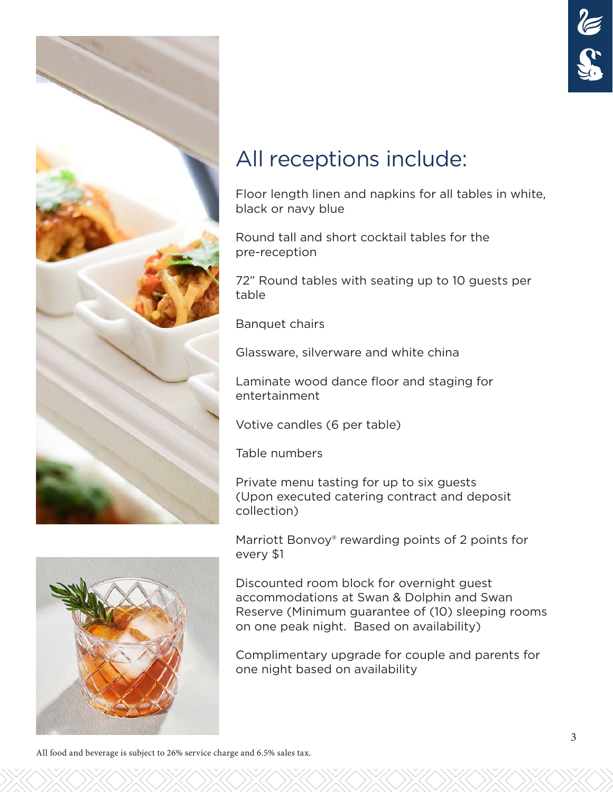

## All receptions include:

Floor length linen and napkins for all tables in white, black or navy blue

Round tall and short cocktail tables for the pre-reception

72" Round tables with seating up to 10 guests per table

Banquet chairs

Glassware, silverware and white china

Laminate wood dance floor and staging for entertainment

Votive candles (6 per table)

Table numbers

Private menu tasting for up to six guests (Upon executed catering contract and deposit collection)

Marriott Bonvoy<sup>®</sup> rewarding points of 2 points for every \$1

Discounted room block for overnight guest accommodations at Swan & Dolphin and Swan Reserve (Minimum guarantee of (10) sleeping rooms on one peak night. Based on availability)

Complimentary upgrade for couple and parents for one night based on availability

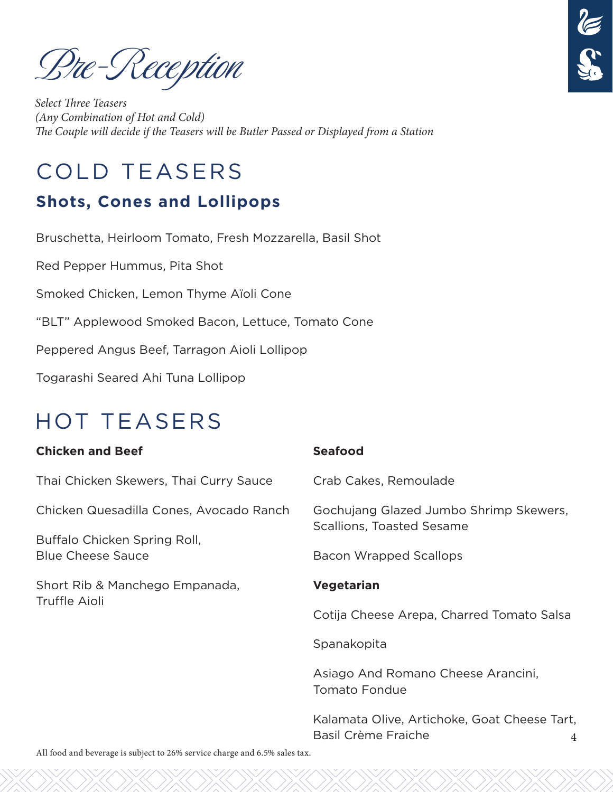Pre-Reception

*Select Three Teasers (Any Combination of Hot and Cold) The Couple will decide if the Teasers will be Butler Passed or Displayed from a Station*

## COLD TEASERS

## **Shots, Cones and Lollipops**

Bruschetta, Heirloom Tomato, Fresh Mozzarella, Basil Shot

Red Pepper Hummus, Pita Shot

Smoked Chicken, Lemon Thyme Aïoli Cone

"BLT" Applewood Smoked Bacon, Lettuce, Tomato Cone

Peppered Angus Beef, Tarragon Aioli Lollipop

Togarashi Seared Ahi Tuna Lollipop

## HOT TEASERS

#### **Chicken and Beef**

Thai Chicken Skewers, Thai Curry Sauce

Chicken Quesadilla Cones, Avocado Ranch

Buffalo Chicken Spring Roll, Blue Cheese Sauce

Short Rib & Manchego Empanada, Truffle Aioli

#### **Seafood**

Crab Cakes, Remoulade

Gochujang Glazed Jumbo Shrimp Skewers, Scallions, Toasted Sesame

Bacon Wrapped Scallops

#### **Vegetarian**

Cotija Cheese Arepa, Charred Tomato Salsa

Spanakopita

Asiago And Romano Cheese Arancini, Tomato Fondue

4 Kalamata Olive, Artichoke, Goat Cheese Tart, Basil Crème Fraiche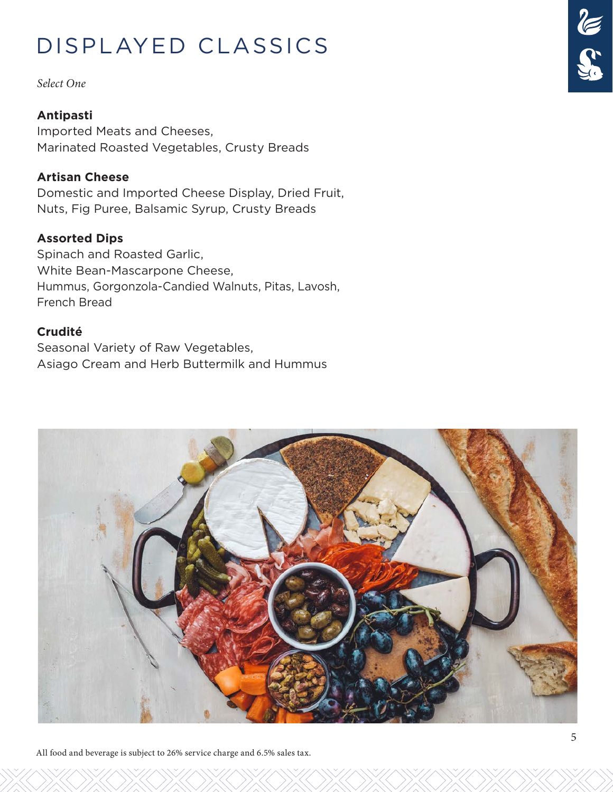## DISPLAYED CLASSICS

*Select One*

#### **Antipasti**

Imported Meats and Cheeses, Marinated Roasted Vegetables, Crusty Breads

#### **Artisan Cheese**

Domestic and Imported Cheese Display, Dried Fruit, Nuts, Fig Puree, Balsamic Syrup, Crusty Breads

#### **Assorted Dips**

Spinach and Roasted Garlic, White Bean-Mascarpone Cheese, Hummus, Gorgonzola-Candied Walnuts, Pitas, Lavosh, French Bread

#### **Crudité**

Seasonal Variety of Raw Vegetables, Asiago Cream and Herb Buttermilk and Hummus



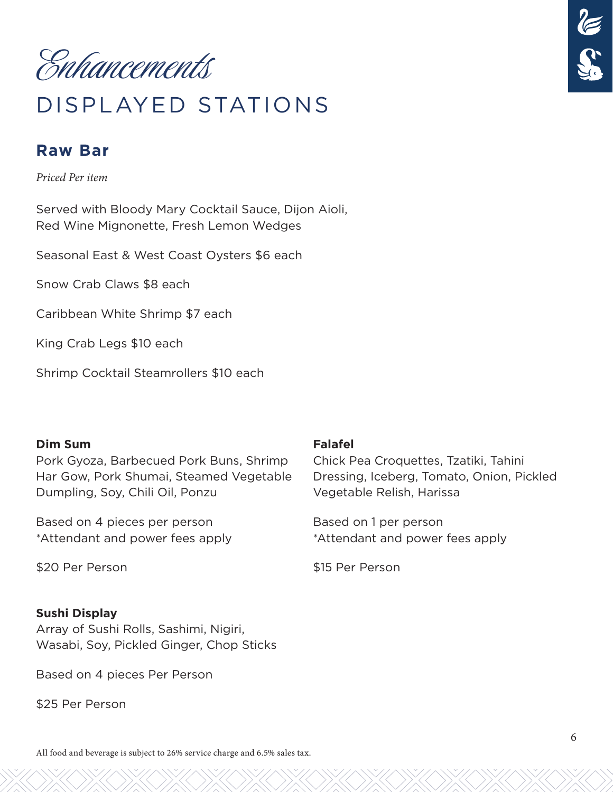Enhancements

## DISPLAYED STATIONS

#### **Raw Bar**

*Priced Per item*

Served with Bloody Mary Cocktail Sauce, Dijon Aioli, Red Wine Mignonette, Fresh Lemon Wedges

Seasonal East & West Coast Oysters \$6 each

Snow Crab Claws \$8 each

Caribbean White Shrimp \$7 each

King Crab Legs \$10 each

Shrimp Cocktail Steamrollers \$10 each

#### **Dim Sum**

Pork Gyoza, Barbecued Pork Buns, Shrimp Har Gow, Pork Shumai, Steamed Vegetable Dumpling, Soy, Chili Oil, Ponzu

Based on 4 pieces per person \*Attendant and power fees apply

\$20 Per Person

#### **Sushi Display**

Array of Sushi Rolls, Sashimi, Nigiri, Wasabi, Soy, Pickled Ginger, Chop Sticks

Based on 4 pieces Per Person

\$25 Per Person

#### **Falafel**

Chick Pea Croquettes, Tzatiki, Tahini Dressing, Iceberg, Tomato, Onion, Pickled Vegetable Relish, Harissa

Based on 1 per person \*Attendant and power fees apply

\$15 Per Person

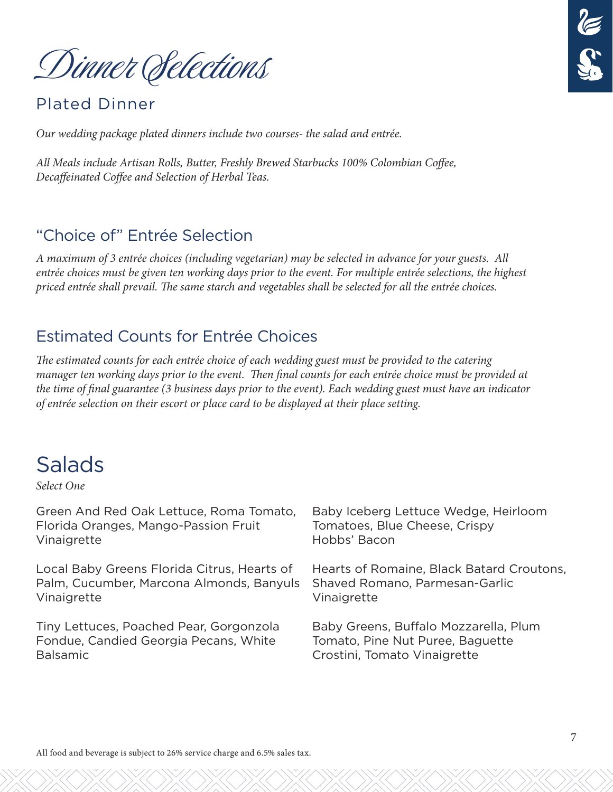Dinner Selections

#### Plated Dinner

*Our wedding package plated dinners include two courses- the salad and entrée.*

*All Meals include Artisan Rolls, Butter, Freshly Brewed Starbucks 100% Colombian Coffee, Decaffeinated Coffee and Selection of Herbal Teas.*

#### "Choice of" Entrée Selection

*A maximum of 3 entrée choices (including vegetarian) may be selected in advance for your guests. All entrée choices must be given ten working days prior to the event. For multiple entrée selections, the highest priced entrée shall prevail. The same starch and vegetables shall be selected for all the entrée choices.*

#### Estimated Counts for Entrée Choices

*The estimated counts for each entrée choice of each wedding guest must be provided to the catering manager ten working days prior to the event. Then final counts for each entrée choice must be provided at the time of final guarantee (3 business days prior to the event). Each wedding guest must have an indicator of entrée selection on their escort or place card to be displayed at their place setting.*

## Salads

*Select One*

| Green And Red Oak Lettuce, Roma Tomato,     | Baby Iceberg Lettuce Wedge, Heirloom      |
|---------------------------------------------|-------------------------------------------|
| Florida Oranges, Mango-Passion Fruit        | Tomatoes, Blue Cheese, Crispy             |
| Vinaigrette                                 | Hobbs' Bacon                              |
| Local Baby Greens Florida Citrus, Hearts of | Hearts of Romaine, Black Batard Croutons, |
| Palm, Cucumber, Marcona Almonds, Banyuls    | Shaved Romano, Parmesan-Garlic            |
| Vinaigrette                                 | Vinaigrette                               |
| Tiny Lettuces, Poached Pear, Gorgonzola     | Baby Greens, Buffalo Mozzarella, Plum     |
| Fondue, Candied Georgia Pecans, White       | Tomato, Pine Nut Puree, Baguette          |
| <b>Balsamic</b>                             | Crostini, Tomato Vinaigrette              |

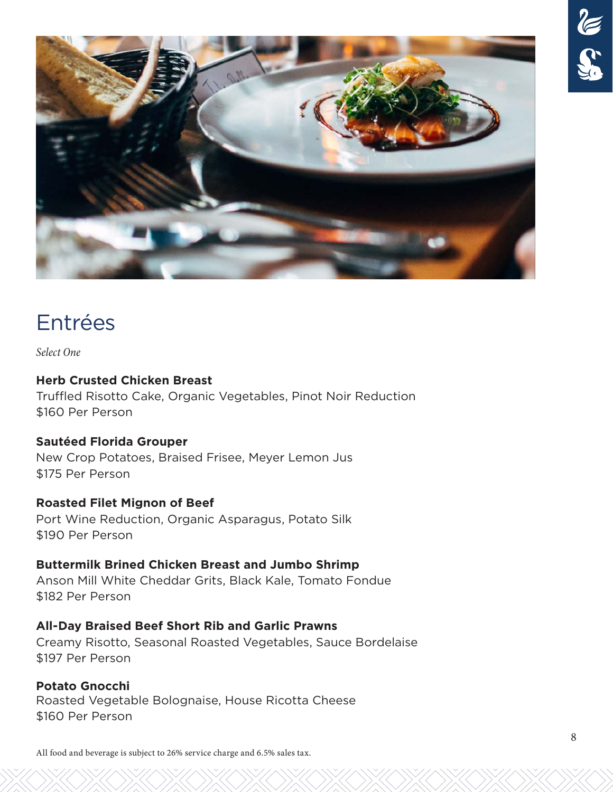

## Entrées

*Select One*

#### **Herb Crusted Chicken Breast**

Truffled Risotto Cake, Organic Vegetables, Pinot Noir Reduction \$160 Per Person

#### **Sautéed Florida Grouper**

New Crop Potatoes, Braised Frisee, Meyer Lemon Jus \$175 Per Person

#### **Roasted Filet Mignon of Beef**

Port Wine Reduction, Organic Asparagus, Potato Silk \$190 Per Person

#### **Buttermilk Brined Chicken Breast and Jumbo Shrimp**

Anson Mill White Cheddar Grits, Black Kale, Tomato Fondue \$182 Per Person

#### **All-Day Braised Beef Short Rib and Garlic Prawns**

Creamy Risotto, Seasonal Roasted Vegetables, Sauce Bordelaise \$197 Per Person

#### **Potato Gnocchi**

Roasted Vegetable Bolognaise, House Ricotta Cheese \$160 Per Person

All food and beverage is subject to 26% service charge and 6.5% sales tax.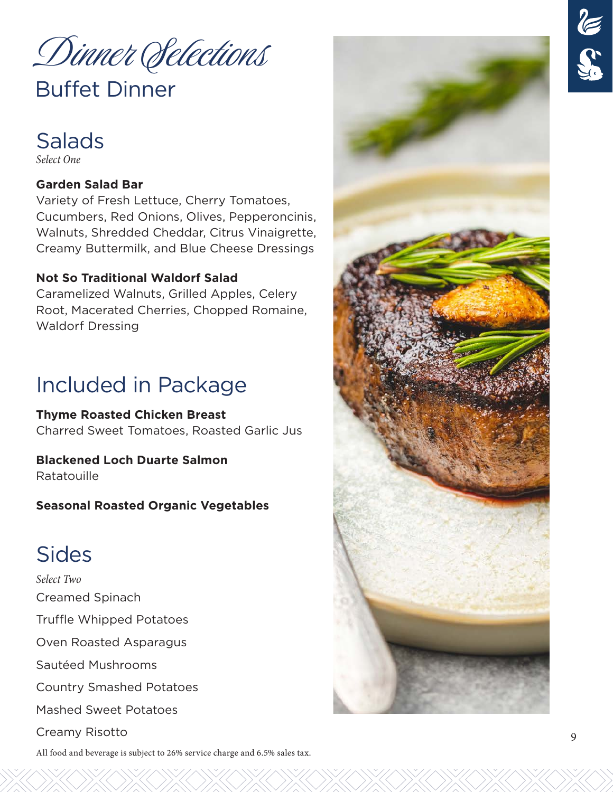Dinner Selections

## Buffet Dinner



#### **Garden Salad Bar**

Variety of Fresh Lettuce, Cherry Tomatoes, Cucumbers, Red Onions, Olives, Pepperoncinis, Walnuts, Shredded Cheddar, Citrus Vinaigrette, Creamy Buttermilk, and Blue Cheese Dressings

#### **Not So Traditional Waldorf Salad**

Caramelized Walnuts, Grilled Apples, Celery Root, Macerated Cherries, Chopped Romaine, Waldorf Dressing

## Included in Package

**Thyme Roasted Chicken Breast**  Charred Sweet Tomatoes, Roasted Garlic Jus

**Blackened Loch Duarte Salmon**  Ratatouille

**Seasonal Roasted Organic Vegetables**

## Sides

*Select Two* Creamed Spinach Truffle Whipped Potatoes Oven Roasted Asparagus Sautéed Mushrooms Country Smashed Potatoes Mashed Sweet Potatoes Creamy Risotto



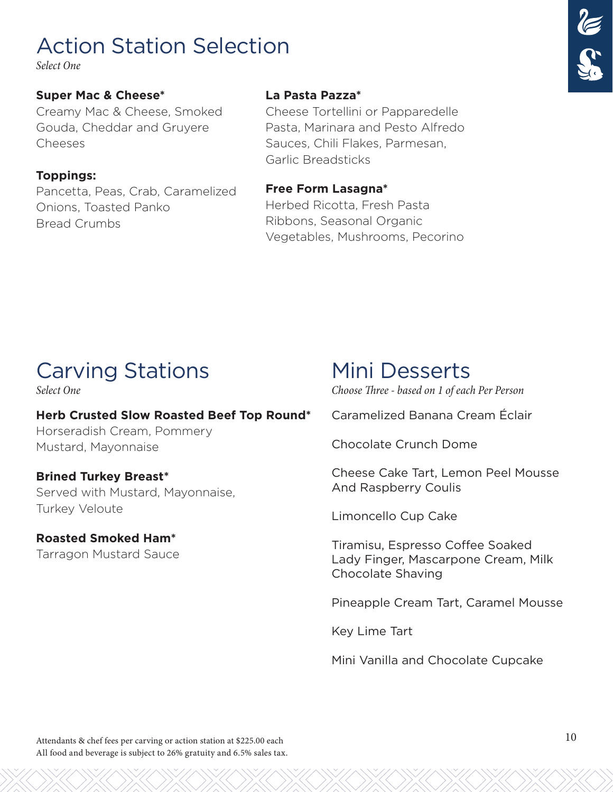## Action Station Selection

*Select One*

#### **Super Mac & Cheese\***

Creamy Mac & Cheese, Smoked Gouda, Cheddar and Gruyere Cheeses

#### **Toppings:**

Pancetta, Peas, Crab, Caramelized Onions, Toasted Panko Bread Crumbs

#### **La Pasta Pazza\***

Cheese Tortellini or Papparedelle Pasta, Marinara and Pesto Alfredo Sauces, Chili Flakes, Parmesan, Garlic Breadsticks

#### **Free Form Lasagna\***

Herbed Ricotta, Fresh Pasta Ribbons, Seasonal Organic Vegetables, Mushrooms, Pecorino

## Carving Stations Mini Desserts

#### **Herb Crusted Slow Roasted Beef Top Round\***

Horseradish Cream, Pommery Mustard, Mayonnaise

#### **Brined Turkey Breast\*** Served with Mustard, Mayonnaise, Turkey Veloute

**Roasted Smoked Ham\***  Tarragon Mustard Sauce

*Select One Choose Three - based on 1 of each Per Person*

Caramelized Banana Cream Éclair

Chocolate Crunch Dome

Cheese Cake Tart, Lemon Peel Mousse And Raspberry Coulis

Limoncello Cup Cake

Tiramisu, Espresso Coffee Soaked Lady Finger, Mascarpone Cream, Milk Chocolate Shaving

Pineapple Cream Tart, Caramel Mousse

Key Lime Tart

Mini Vanilla and Chocolate Cupcake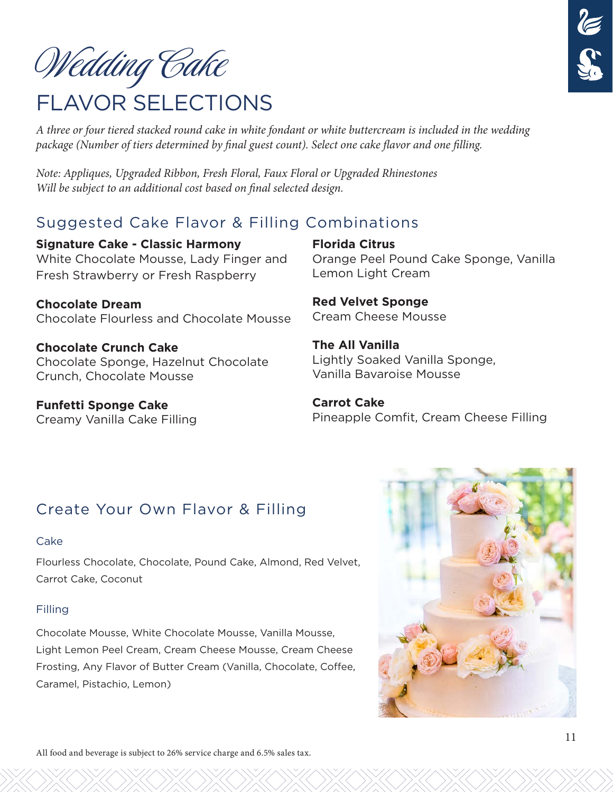

# FLAVOR SELECTIONS Wedding Cake

*A three or four tiered stacked round cake in white fondant or white buttercream is included in the wedding package (Number of tiers determined by final guest count). Select one cake flavor and one filling.*

*Note: Appliques, Upgraded Ribbon, Fresh Floral, Faux Floral or Upgraded Rhinestones Will be subject to an additional cost based on final selected design.* 

## Suggested Cake Flavor & Filling Combinations

**Signature Cake - Classic Harmony** White Chocolate Mousse, Lady Finger and Fresh Strawberry or Fresh Raspberry

**Chocolate Dream** Chocolate Flourless and Chocolate Mousse

**Chocolate Crunch Cake** Chocolate Sponge, Hazelnut Chocolate Crunch, Chocolate Mousse

**Funfetti Sponge Cake** Creamy Vanilla Cake Filling **Florida Citrus** Orange Peel Pound Cake Sponge, Vanilla Lemon Light Cream

**Red Velvet Sponge** Cream Cheese Mousse

**The All Vanilla** Lightly Soaked Vanilla Sponge, Vanilla Bavaroise Mousse

**Carrot Cake** Pineapple Comfit, Cream Cheese Filling

## Create Your Own Flavor & Filling

#### Cake

Flourless Chocolate, Chocolate, Pound Cake, Almond, Red Velvet, Carrot Cake, Coconut

#### Filling

Chocolate Mousse, White Chocolate Mousse, Vanilla Mousse, Light Lemon Peel Cream, Cream Cheese Mousse, Cream Cheese Frosting, Any Flavor of Butter Cream (Vanilla, Chocolate, Coffee, Caramel, Pistachio, Lemon)

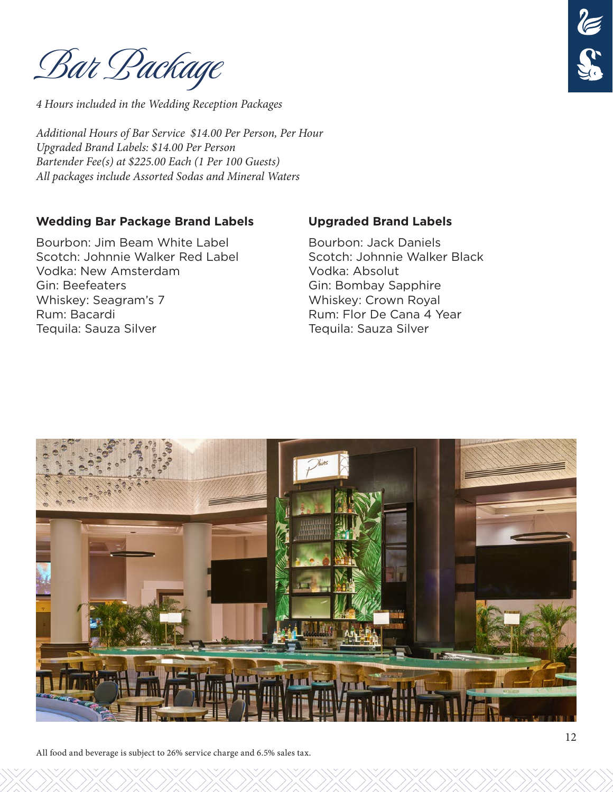Bar Package

*4 Hours included in the Wedding Reception Packages*

*Additional Hours of Bar Service \$14.00 Per Person, Per Hour Upgraded Brand Labels: \$14.00 Per Person Bartender Fee(s) at \$225.00 Each (1 Per 100 Guests) All packages include Assorted Sodas and Mineral Waters*

#### **Wedding Bar Package Brand Labels**

Bourbon: Jim Beam White Label Scotch: Johnnie Walker Red Label Vodka: New Amsterdam Gin: Beefeaters Whiskey: Seagram's 7 Rum: Bacardi Tequila: Sauza Silver

#### **Upgraded Brand Labels**

Bourbon: Jack Daniels Scotch: Johnnie Walker Black Vodka: Absolut Gin: Bombay Sapphire Whiskey: Crown Royal Rum: Flor De Cana 4 Year Tequila: Sauza Silver



All food and beverage is subject to 26% service charge and 6.5% sales tax.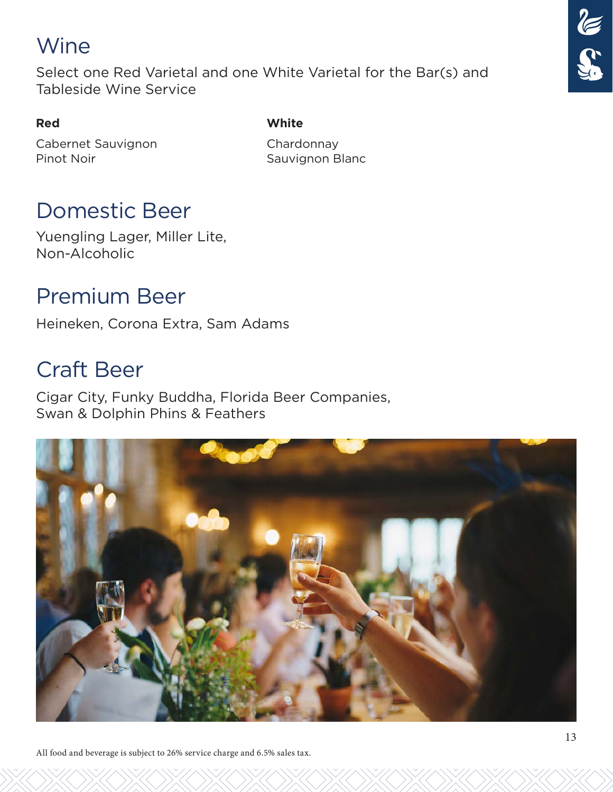## Wine

Select one Red Varietal and one White Varietal for the Bar(s) and Tableside Wine Service

#### **Red**

**White**

Cabernet Sauvignon Pinot Noir

Chardonnay Sauvignon Blanc

## Domestic Beer

Yuengling Lager, Miller Lite, Non-Alcoholic

## Premium Beer

Heineken, Corona Extra, Sam Adams

## Craft Beer

Cigar City, Funky Buddha, Florida Beer Companies, Swan & Dolphin Phins & Feathers



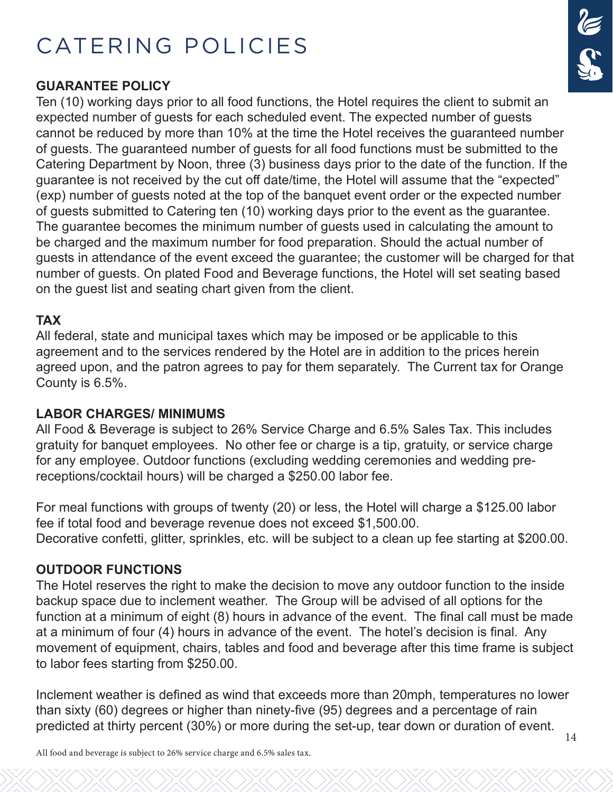## CATERING POLICIES

#### **GUARANTEE POLICY**

Ten (10) working days prior to all food functions, the Hotel requires the client to submit an expected number of guests for each scheduled event. The expected number of guests cannot be reduced by more than 10% at the time the Hotel receives the guaranteed number of guests. The guaranteed number of guests for all food functions must be submitted to the Catering Department by Noon, three (3) business days prior to the date of the function. If the guarantee is not received by the cut off date/time, the Hotel will assume that the "expected" (exp) number of guests noted at the top of the banquet event order or the expected number of guests submitted to Catering ten (10) working days prior to the event as the guarantee. The guarantee becomes the minimum number of guests used in calculating the amount to be charged and the maximum number for food preparation. Should the actual number of guests in attendance of the event exceed the guarantee; the customer will be charged for that number of guests. On plated Food and Beverage functions, the Hotel will set seating based on the guest list and seating chart given from the client.

#### **TAX**

All federal, state and municipal taxes which may be imposed or be applicable to this agreement and to the services rendered by the Hotel are in addition to the prices herein agreed upon, and the patron agrees to pay for them separately. The Current tax for Orange County is 6.5%.

#### **LABOR CHARGES/ MINIMUMS**

All Food & Beverage is subject to 26% Service Charge and 6.5% Sales Tax. This includes gratuity for banquet employees. No other fee or charge is a tip, gratuity, or service charge for any employee. Outdoor functions (excluding wedding ceremonies and wedding prereceptions/cocktail hours) will be charged a \$250.00 labor fee.

For meal functions with groups of twenty (20) or less, the Hotel will charge a \$125.00 labor fee if total food and beverage revenue does not exceed \$1,500.00. Decorative confetti, glitter, sprinkles, etc. will be subject to a clean up fee starting at \$200.00.

#### **OUTDOOR FUNCTIONS**

The Hotel reserves the right to make the decision to move any outdoor function to the inside backup space due to inclement weather. The Group will be advised of all options for the function at a minimum of eight (8) hours in advance of the event. The final call must be made at a minimum of four (4) hours in advance of the event. The hotel's decision is final. Any movement of equipment, chairs, tables and food and beverage after this time frame is subject to labor fees starting from \$250.00.

Inclement weather is defined as wind that exceeds more than 20mph, temperatures no lower than sixty (60) degrees or higher than ninety-five (95) degrees and a percentage of rain predicted at thirty percent (30%) or more during the set-up, tear down or duration of event.

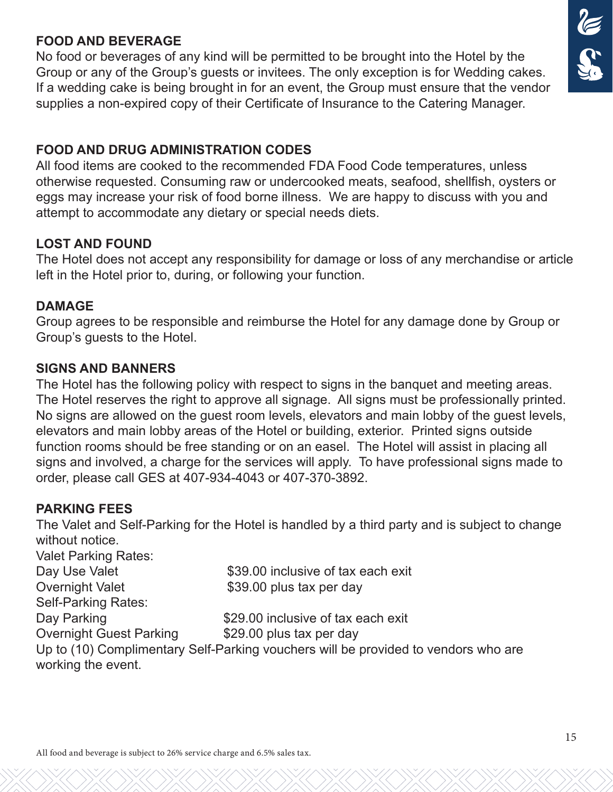#### **FOOD AND BEVERAGE**

No food or beverages of any kind will be permitted to be brought into the Hotel by the Group or any of the Group's guests or invitees. The only exception is for Wedding cakes. If a wedding cake is being brought in for an event, the Group must ensure that the vendor supplies a non-expired copy of their Certificate of Insurance to the Catering Manager.

#### **FOOD AND DRUG ADMINISTRATION CODES**

All food items are cooked to the recommended FDA Food Code temperatures, unless otherwise requested. Consuming raw or undercooked meats, seafood, shellfish, oysters or eggs may increase your risk of food borne illness. We are happy to discuss with you and attempt to accommodate any dietary or special needs diets.

#### **LOST AND FOUND**

The Hotel does not accept any responsibility for damage or loss of any merchandise or article left in the Hotel prior to, during, or following your function.

#### **DAMAGE**

Group agrees to be responsible and reimburse the Hotel for any damage done by Group or Group's guests to the Hotel.

#### **SIGNS AND BANNERS**

The Hotel has the following policy with respect to signs in the banquet and meeting areas. The Hotel reserves the right to approve all signage. All signs must be professionally printed. No signs are allowed on the guest room levels, elevators and main lobby of the guest levels, elevators and main lobby areas of the Hotel or building, exterior. Printed signs outside function rooms should be free standing or on an easel. The Hotel will assist in placing all signs and involved, a charge for the services will apply. To have professional signs made to order, please call GES at 407-934-4043 or 407-370-3892.

#### **PARKING FEES**

The Valet and Self-Parking for the Hotel is handled by a third party and is subject to change without notice.

Valet Parking Rates: Day Use Valet \$39.00 inclusive of tax each exit Overnight Valet \$39.00 plus tax per day Self-Parking Rates: Day Parking **Example 2010** S29.00 inclusive of tax each exit Overnight Guest Parking \$29.00 plus tax per day Up to (10) Complimentary Self-Parking vouchers will be provided to vendors who are working the event.

# **CE**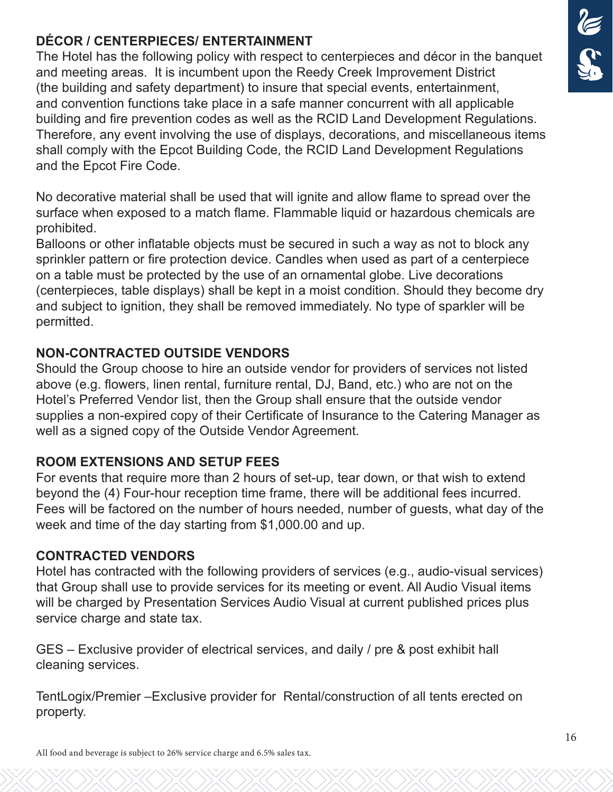#### **DÉCOR / CENTERPIECES/ ENTERTAINMENT**

The Hotel has the following policy with respect to centerpieces and décor in the banquet and meeting areas. It is incumbent upon the Reedy Creek Improvement District (the building and safety department) to insure that special events, entertainment, and convention functions take place in a safe manner concurrent with all applicable building and fire prevention codes as well as the RCID Land Development Regulations. Therefore, any event involving the use of displays, decorations, and miscellaneous items shall comply with the Epcot Building Code, the RCID Land Development Regulations and the Epcot Fire Code.

No decorative material shall be used that will ignite and allow flame to spread over the surface when exposed to a match flame. Flammable liquid or hazardous chemicals are prohibited.

Balloons or other inflatable objects must be secured in such a way as not to block any sprinkler pattern or fire protection device. Candles when used as part of a centerpiece on a table must be protected by the use of an ornamental globe. Live decorations (centerpieces, table displays) shall be kept in a moist condition. Should they become dry and subject to ignition, they shall be removed immediately. No type of sparkler will be permitted.

#### **NON-CONTRACTED OUTSIDE VENDORS**

Should the Group choose to hire an outside vendor for providers of services not listed above (e.g. flowers, linen rental, furniture rental, DJ, Band, etc.) who are not on the Hotel's Preferred Vendor list, then the Group shall ensure that the outside vendor supplies a non-expired copy of their Certificate of Insurance to the Catering Manager as well as a signed copy of the Outside Vendor Agreement.

#### **ROOM EXTENSIONS AND SETUP FEES**

For events that require more than 2 hours of set-up, tear down, or that wish to extend beyond the (4) Four-hour reception time frame, there will be additional fees incurred. Fees will be factored on the number of hours needed, number of guests, what day of the week and time of the day starting from \$1,000.00 and up.

#### **CONTRACTED VENDORS**

Hotel has contracted with the following providers of services (e.g., audio-visual services) that Group shall use to provide services for its meeting or event. All Audio Visual items will be charged by Presentation Services Audio Visual at current published prices plus service charge and state tax.

GES – Exclusive provider of electrical services, and daily / pre & post exhibit hall cleaning services.

TentLogix/Premier –Exclusive provider for Rental/construction of all tents erected on property.